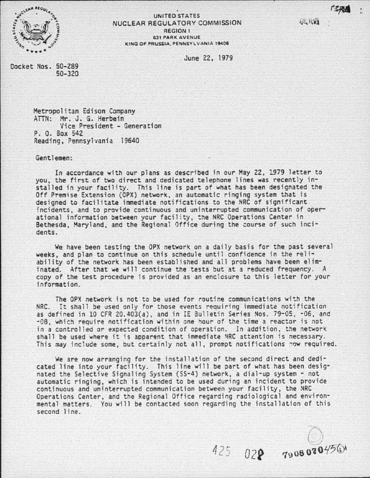**JERY** 



### UNITED STATES NUCLEAR REGULATORY COMMISSION REGION I 631 PARK AVENUE KING OF PRUSSIA PENNSYLVANIA 19406

June 22, 1979

Docket Nos. 50-289 50-320

> Metropolitan Edison Company ATTN: Mr. J. G. Herbein Vice President - Generation P. 0. Box 542 Reading, Pennsylvania 19640

Gent.l emen:

In accordance with our plans as described in our May 22, 1979 letter to you, the first of two direct and dedicated telephone lines was recently installed in your facility. This line is part of what has been designated the Off Premise Extension (OPX) network, an automatic ringing system that is designed to facilitate immediate notifications to the NRC *of* significant incidents, and to provide continuous and uninterrupted communication of operational information between your facility, the NRC Operations Center in Bethesda, Maryland, and the Regional Office during the course of such incidents.

We have been testing the OPX network on a daily basis *for* the past several weeks, and plan to continue on this schedule until confidence in the reliability of the network has been established and all problems have been eliminated. After that we will continue the tests but at a reduced frequency. A copy of the test procedure is provided as an enclosure to this letter for your information.

The OPX network is not to be used for routine communications with the NRC. It shall be used only for those events requiring immediate notification as defined in 10 CFR 20.403(a), and in IE 3ulletin Series Nos. 79-05, -06, and -08, which require notification within one hour of the time a reactor is not in a controlled or expected condition of operation. In addition, the network shall be used where it is apparent that immediate NRC attention is necessary. This may include some, but certainly not all, prompt notifications now required.

We are now arranging for the installation of the second direct and dedicated line into your facility. This line will be part of what has been designated the Selective Signaling System (SS-4) network, a dial-up system- not automatic ringing, wh ich is intended to be used during an incident to provide continuous and uninterrupted communication between your facility, the NRC Operations Center, and the Regional Office regarding radiological and environmental matters. You will be contacted soon regarding the installation of this second line.

 $\bigwedge$  $\bigcirc$  $7908080^{450}$ 

--. -··- ----------"'-------

 $U Z Z$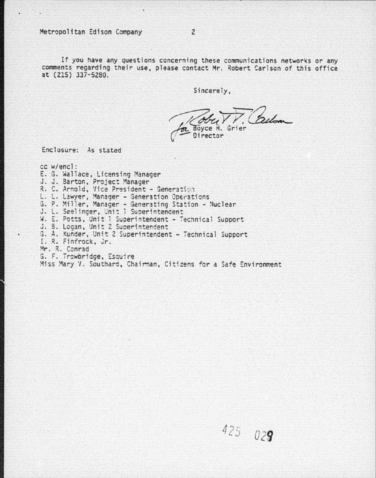Metropolitan Edison Company

If you have any questions concerning these communications networks or any comments regarding their use, please contact Mr. Robert Carlson of this office at (215) 337-5280.

Sincerely.

belan Boyce H. Grier Director

 $425029$ 

Enclosure: As stated

cc w/encl: E. G. Wallace, Licensing Manager J. J. Barton, Project Manager R. C. Arnold, Vice President - Generation L. L. Lawyer, Manager - Generation Operations<br>G. P. Miller, Manager - Generating Station - Nuclear J. L. Seelinger, Unit 1 Superintendent W. E. Potts, Unit 1 Superintendent - Technical Support J. B. Logan, Unit 2 Superintendent G. A. Kunder, Unit 2 Superintendent - Technical Support I. R. Finfrock, Jr. Mr. R. Conrad G. F. Trowbridge, Esquire Miss Mary V. Southard, Chairman, Citizens for a Safe Environment